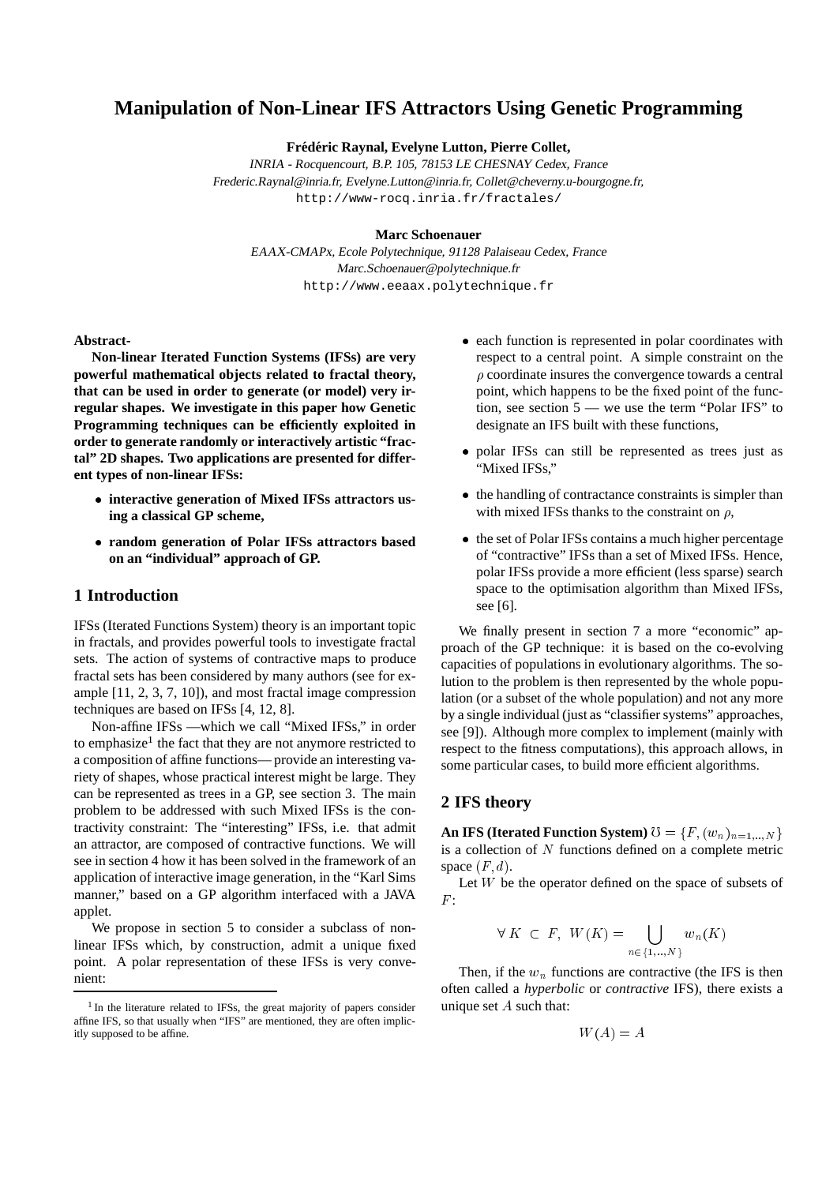# **Manipulation of Non-Linear IFS Attractors Using Genetic Programming**

**Fred´ eric Raynal, Evelyne Lutton, Pierre Collet, ´**

INRIA - Rocquencourt, B.P. 105, <sup>78153</sup> LE CHESNAY Cedex, France Frederic.Raynal@inria.fr, Evelyne.Lutton@inria.fr, Collet@cheverny.u-bourgogne.fr, http://www-rocq.inria.fr/fractales/

#### **Marc Schoenauer**

EAAX-CMAPx, Ecole Polytechnique, <sup>91128</sup> Palaiseau Cedex, France Marc.Schoenauer@polytechnique.fr http://www.eeaax.polytechnique.fr

#### **Abstract-**

**Non-linear Iterated Function Systems (IFSs) are very powerful mathematical objects related to fractal theory, that can be used in order to generate (or model) very irregular shapes. We investigate in this paper how Genetic Programming techniques can be efficiently exploited in order to generate randomly or interactively artistic "fractal" 2D shapes. Two applications are presented for different types of non-linear IFSs:**

- **interactive generation of Mixed IFSs attractors using a classical GP scheme,**
- **random generation of Polar IFSs attractors based on an "individual" approach of GP.**

### **1 Introduction**

IFSs (Iterated Functions System) theory is an important topic in fractals, and provides powerful tools to investigate fractal sets. The action of systems of contractive maps to produce fractal sets has been considered by many authors (see for example [11, 2, 3, 7, 10]), and most fractal image compression techniques are based on IFSs [4, 12, 8].

Non-affine IFSs —which we call "Mixed IFSs," in order to emphasize<sup>1</sup> the fact that they are not anymore restricted to a composition of affine functions— provide an interesting variety of shapes, whose practical interest might be large. They can be represented as trees in a GP, see section 3. The main problem to be addressed with such Mixed IFSs is the contractivity constraint: The "interesting" IFSs, i.e. that admit an attractor, are composed of contractive functions. We will see in section 4 how it has been solved in the framework of an application of interactive image generation, in the "Karl Sims manner," based on a GP algorithm interfaced with a JAVA applet.

We propose in section 5 to consider a subclass of nonlinear IFSs which, by construction, admit a unique fixed point. A polar representation of these IFSs is very convenient:

- each function is represented in polar coordinates with respect to a central point. A simple constraint on the  $\rho$  coordinate insures the convergence towards a central point, which happens to be the fixed point of the function, see section 5 — we use the term "Polar IFS" to designate an IFS built with these functions,
- polar IFSs can still be represented as trees just as "Mixed IFSs,"
- the handling of contractance constraints is simpler than with mixed IFSs thanks to the constraint on  $\rho$ ,
- the set of Polar IFSs contains a much higher percentage of "contractive" IFSs than a set of Mixed IFSs. Hence, polar IFSs provide a more efficient (less sparse) search space to the optimisation algorithm than Mixed IFSs, see [6].

We finally present in section 7 a more "economic" approach of the GP technique: it is based on the co-evolving capacities of populations in evolutionary algorithms. The solution to the problem is then represented by the whole population (or a subset of the whole population) and not any more by a single individual (just as "classifier systems" approaches, see [9]). Although more complex to implement (mainly with respect to the fitness computations), this approach allows, in some particular cases, to build more efficient algorithms.

### **2 IFS theory**

**An IFS (Iterated Function System)**  $\mathcal{O} = \{F, (w_n)_{n=1,..,N}\}$ is a collection of  $N$  functions defined on a complete metric space  $(F, d)$ .

Let W be the operator defined on the space of subsets of  $F \cdot$ 

$$
\forall K \subset F, \ W(K) = \bigcup_{n \in \{1, \dots, N\}} w_n(K)
$$

Then, if the  $w_n$  functions are contractive (the IFS is then often called a *hyperbolic* or *contractive* IFS), there exists a unique set <sup>A</sup> such that:

 $W(A) = A$ 

<sup>&</sup>lt;sup>1</sup> In the literature related to IFSs, the great majority of papers consider affine IFS, so that usually when "IFS" are mentioned, they are often implicitly supposed to be affine.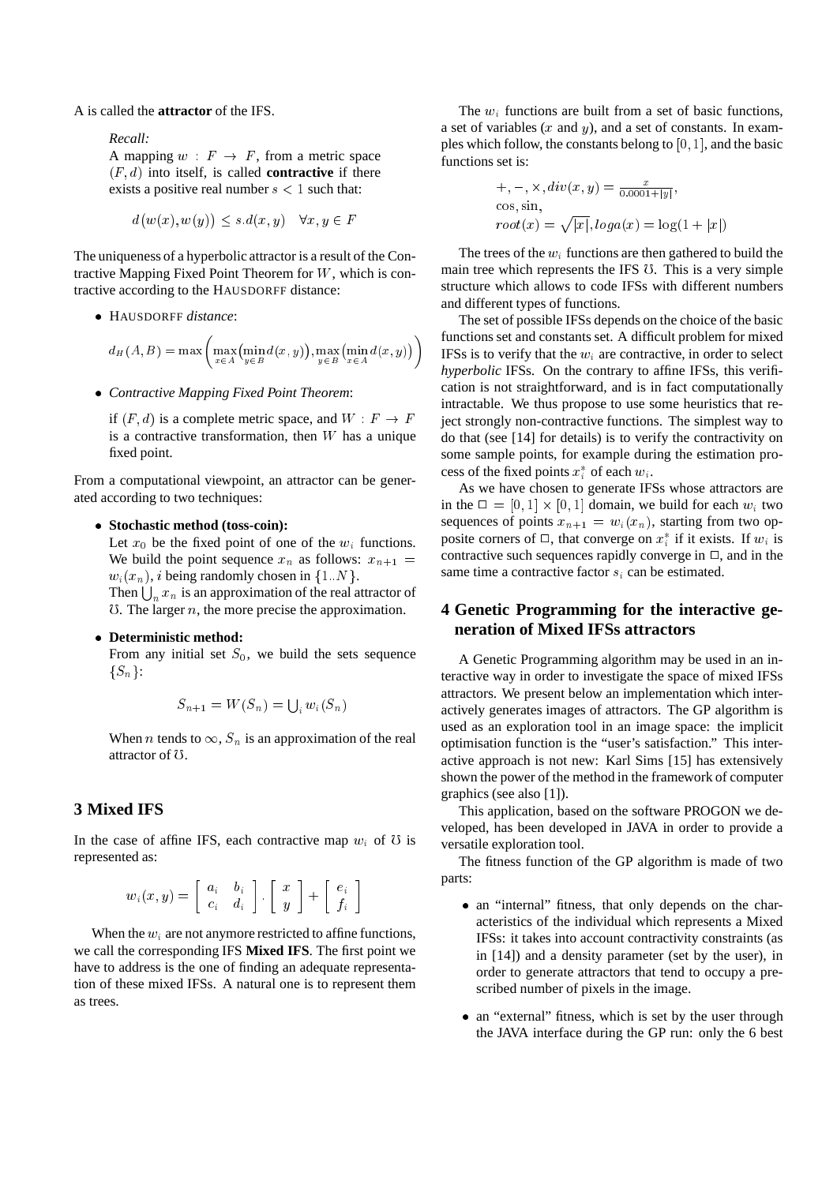A is called the **attractor** of the IFS.

*Recall:*

A mapping  $w : F \rightarrow F$ , from a metric space  $(F, d)$  into itself, is called **contractive** if there exists a positive real number  $s < 1$  such that:

$$
d(w(x), w(y)) \le s.d(x, y) \quad \forall x, y \in F
$$

The uniqueness of a hyperbolic attractor is a result of the Contractive Mapping Fixed Point Theorem for W, which is contractive according to the HAUSDORFF distance:

HAUSDORFF *distance*:

$$
d_H(A, B) = \max \left( \max_{x \in A} \left( \min_{y \in B} d(x, y) \right), \max_{y \in B} \left( \min_{x \in A} d(x, y) \right) \right)
$$

*Contractive Mapping Fixed Point Theorem*:

if  $(F, d)$  is a complete metric space, and  $W : F \to F$ is a contractive transformation, then  $W$  has a unique fixed point.

From a computational viewpoint, an attractor can be generated according to two techniques:

### **Stochastic method (toss-coin):**

Let  $x_0$  be the fixed point of one of the  $w_i$  functions. We build the point sequence  $x_n$  as follows:  $x_{n+1}$  =  $w_i(x_n)$ , *i* being randomly chosen in  $\{1..N\}$ . Then  $\bigcup_n x_n$  is an approximation of the real attractor of  $\sigma$ . The larger *n*, the more precise the approximation.

### **Deterministic method:**

From any initial set  $S_0$ , we build the sets sequence  $\{S_n\}$ :

$$
S_{n+1} = W(S_n) = \bigcup_i w_i(S_n)
$$

When *n* tends to  $\infty$ ,  $S_n$  is an approximation of the real attractor of U.

## **3 Mixed IFS**

In the case of affine IFS, each contractive map  $w_i$  of  $\sigma$  is represented as:

$$
w_i(x,y) = \left[\begin{array}{cc} a_i & b_i \\ c_i & d_i \end{array}\right]. \left[\begin{array}{c} x \\ y \end{array}\right] + \left[\begin{array}{c} e_i \\ f_i \end{array}\right]
$$

When the  $w_i$  are not anymore restricted to affine functions, we call the corresponding IFS **Mixed IFS**. The first point we have to address is the one of finding an adequate representation of these mixed IFSs. A natural one is to represent them as trees.

The  $w_i$  functions are built from a set of basic functions, a set of variables  $(x \text{ and } y)$ , and a set of constants. In examples which follow, the constants belong to  $[0, 1]$ , and the basic functions set is:

$$
+,-,\times, div(x,y) = \frac{x}{0.0001+|y|},
$$
  
cos, sin,  

$$
root(x) = \sqrt{|x|}, loga(x) = log(1+|x|)
$$

The trees of the  $w_i$  functions are then gathered to build the main tree which represents the IFS <sup>0</sup>. This is a very simple structure which allows to code IFSs with different numbers and different types of functions.

The set of possible IFSs depends on the choice of the basic functions set and constants set. A difficult problem for mixed **IFSs** is to verify that the  $w_i$  are contractive, in order to select *hyperbolic* IFSs. On the contrary to affine IFSs, this verification is not straightforward, and is in fact computationally intractable. We thus propose to use some heuristics that reject strongly non-contractive functions. The simplest way to do that (see [14] for details) is to verify the contractivity on some sample points, for example during the estimation process of the fixed points  $x_i^*$  of each  $w_i$ .

As we have chosen to generate IFSs whose attractors are in the  $\Box = [0, 1] \times [0, 1]$  domain, we build for each  $w_i$  two sequences of points  $x_{n+1} = w_i(x_n)$ , starting from two opposite corners of  $\Box$ , that converge on  $x_i^*$  if it exists. If  $w_i$  is contractive such sequences rapidly converge in  $\Box$ , and in the same time a contractive factor  $s_i$  can be estimated.

### **4 Genetic Programming for the interactive generation of Mixed IFSs attractors**

A Genetic Programming algorithm may be used in an interactive way in order to investigate the space of mixed IFSs attractors. We present below an implementation which interactively generates images of attractors. The GP algorithm is used as an exploration tool in an image space: the implicit optimisation function is the "user's satisfaction." This interactive approach is not new: Karl Sims [15] has extensively shown the power of the method in the framework of computer graphics (see also [1]).

This application, based on the software PROGON we developed, has been developed in JAVA in order to provide a versatile exploration tool.

The fitness function of the GP algorithm is made of two parts:

- an "internal" fitness, that only depends on the characteristics of the individual which represents a Mixed IFSs: it takes into account contractivity constraints (as in [14]) and a density parameter (set by the user), in order to generate attractors that tend to occupy a prescribed number of pixels in the image.
- an "external" fitness, which is set by the user through the JAVA interface during the GP run: only the 6 best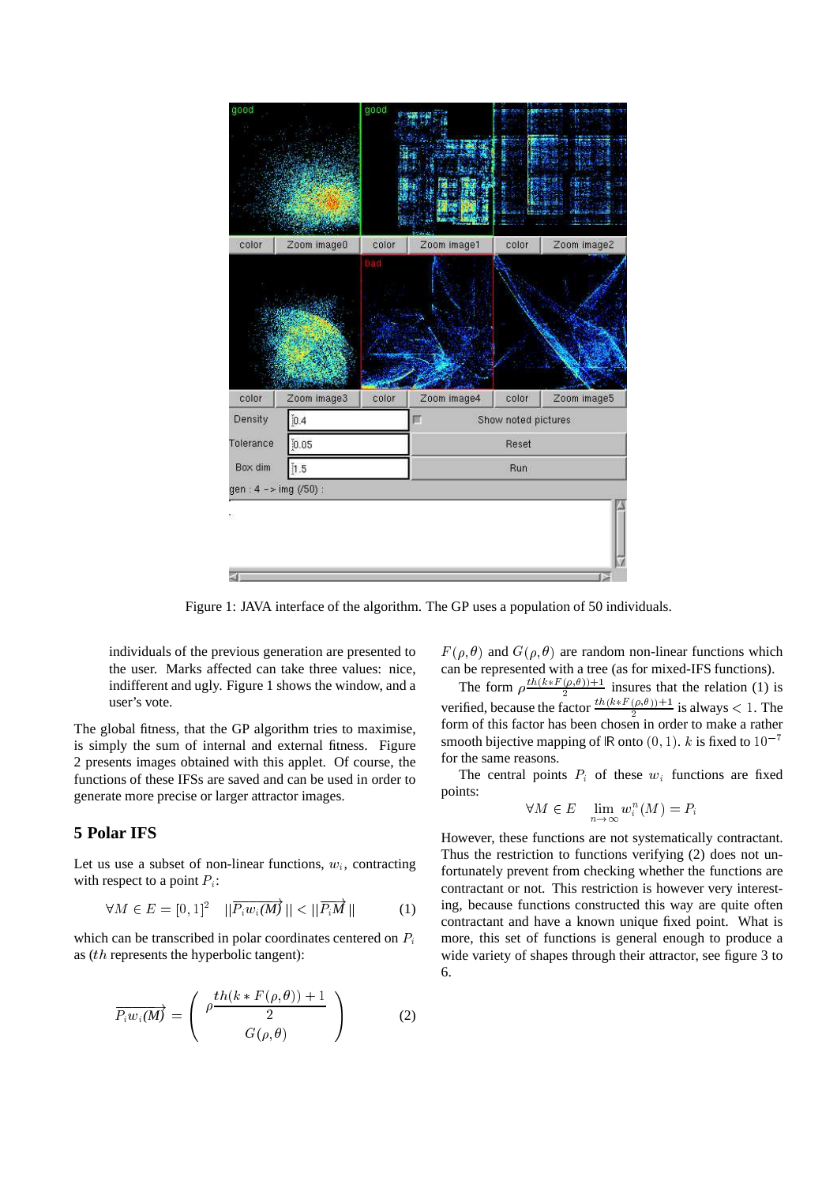

Figure 1: JAVA interface of the algorithm. The GP uses a population of 50 individuals.

individuals of the previous generation are presented to the user. Marks affected can take three values: nice, indifferent and ugly. Figure 1 shows the window, and a user's vote.

The global fitness, that the GP algorithm tries to maximise, is simply the sum of internal and external fitness. Figure 2 presents images obtained with this applet. Of course, the functions of these IFSs are saved and can be used in order to generate more precise or larger attractor images.

## **5 Polar IFS**

Let us use a subset of non-linear functions,  $w_i$ , contracting with respect to a point  $P_i$ :

$$
\forall M \in E = [0,1]^2 \quad ||\overline{P_i w_i(M)}|| < ||\overline{P_i M}|| \tag{1}
$$

which can be transcribed in polar coordinates centered on  $P_i$ as (th represents the hyperbolic tangent):

$$
\overrightarrow{P_i w_i(M)} = \begin{pmatrix} \rho \frac{th(k * F(\rho, \theta)) + 1}{2} \\ G(\rho, \theta) \end{pmatrix}
$$
 (2)

 $F(\rho, \theta)$  and  $G(\rho, \theta)$  are random non-linear functions which can be represented with a tree (as for mixed-IFS functions).

The form  $\rho \frac{t^{n} (k * F(\rho, \theta)) + 1}{2}$  insures that the relation (1) is verified, because the factor  $\frac{th(k*F(\rho,\theta))+1}{2}$  is always < 1. The form of this factor has been chosen in order to make a rather smooth bijective mapping of R onto  $(0, 1)$ . k is fixed to  $10^{-7}$ for the same reasons.

The central points  $P_i$  of these  $w_i$  functions are fixed points:

$$
\forall M \in E \quad \lim_{n \to \infty} w_i^n(M) = P_i
$$

However, these functions are not systematically contractant. Thus the restriction to functions verifying (2) does not unfortunately prevent from checking whether the functions are contractant or not. This restriction is however very interesting, because functions constructed this way are quite often contractant and have a known unique fixed point. What is more, this set of functions is general enough to produce a wide variety of shapes through their attractor, see figure 3 to 6.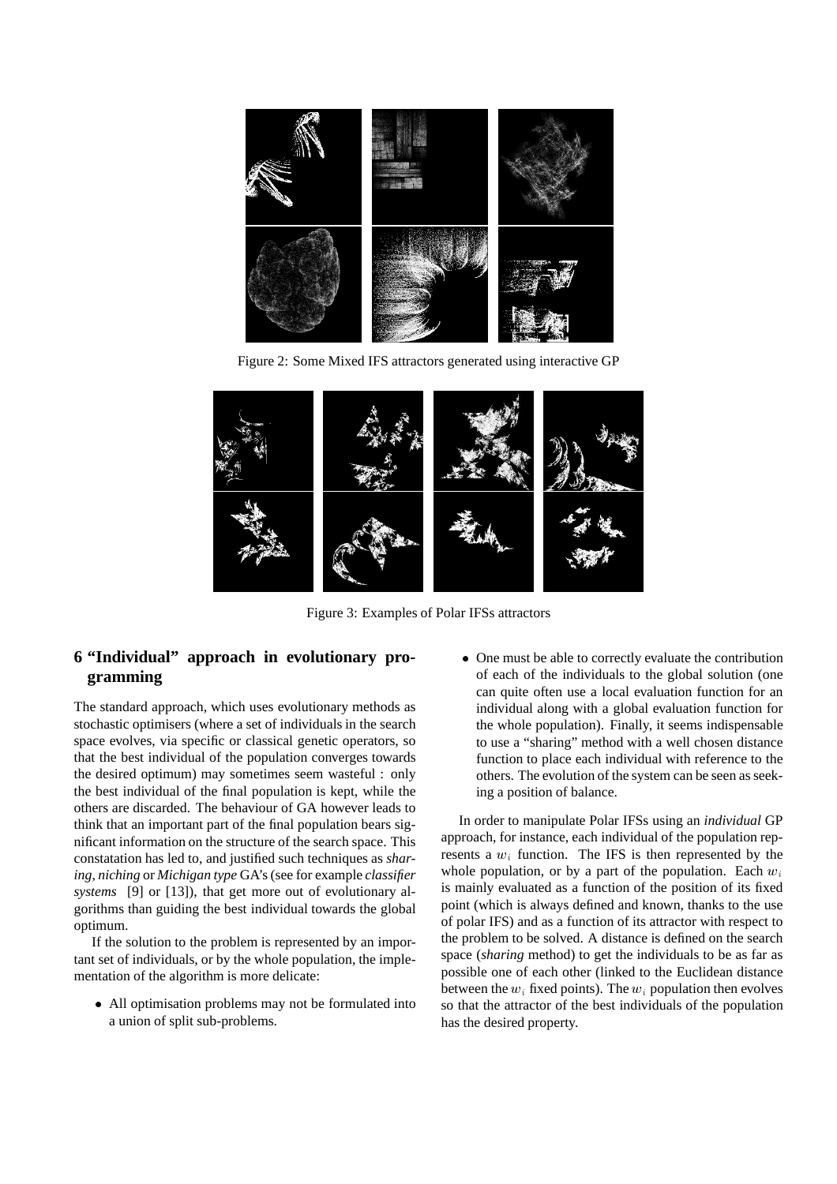

Figure 2: Some Mixed IFS attractors generated using interactive GP



Figure 3: Examples of Polar IFSs attractors

# **6 "Individual" approach in evolutionary programming**

The standard approach, which uses evolutionary methods as stochastic optimisers (where a set of individuals in the search space evolves, via specific or classical genetic operators, so that the best individual of the population converges towards the desired optimum) may sometimes seem wasteful : only the best individual of the final population is kept, while the others are discarded. The behaviour of GA however leads to think that an important part of the final population bears significant information on the structure of the search space. This constatation has led to, and justified such techniques as *sharing*, *niching* or *Michigan type* GA's (see for example *classifier systems* [9] or [13]), that get more out of evolutionary algorithms than guiding the best individual towards the global optimum.

If the solution to the problem is represented by an important set of individuals, or by the whole population, the implementation of the algorithm is more delicate:

 All optimisation problems may not be formulated into a union of split sub-problems.

 One must be able to correctly evaluate the contribution of each of the individuals to the global solution (one can quite often use a local evaluation function for an individual along with a global evaluation function for the whole population). Finally, it seems indispensable to use a "sharing" method with a well chosen distance function to place each individual with reference to the others. The evolution of the system can be seen as seeking a position of balance.

In order to manipulate Polar IFSs using an *individual* GP approach, for instance, each individual of the population represents a  $w_i$  function. The IFS is then represented by the whole population, or by a part of the population. Each  $w_i$ is mainly evaluated as a function of the position of its fixed point (which is always defined and known, thanks to the use of polar IFS) and as a function of its attractor with respect to the problem to be solved. A distance is defined on the search space (*sharing* method) to get the individuals to be as far as possible one of each other (linked to the Euclidean distance between the  $w_i$  fixed points). The  $w_i$  population then evolves so that the attractor of the best individuals of the population has the desired property.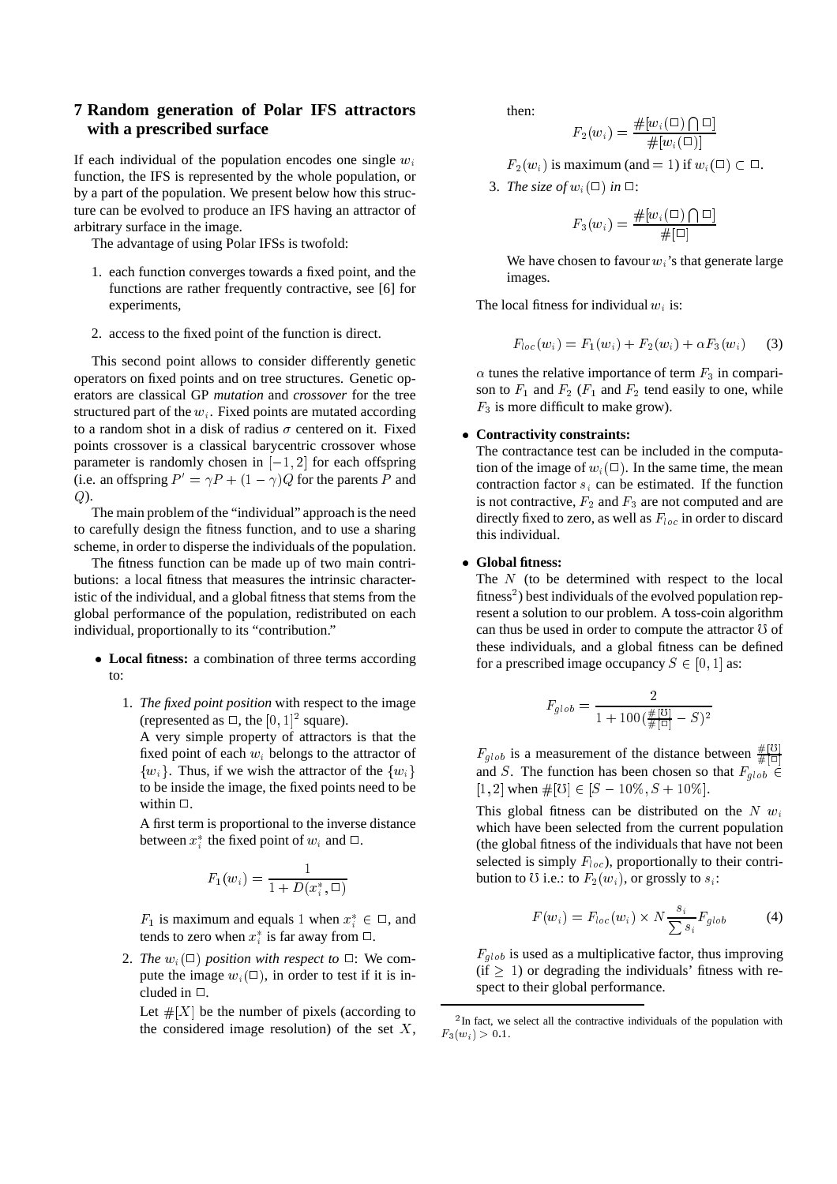## **7 Random generation of Polar IFS attractors with a prescribed surface**

If each individual of the population encodes one single  $w_i$ function, the IFS is represented by the whole population, or by a part of the population. We present below how this structure can be evolved to produce an IFS having an attractor of arbitrary surface in the image.

The advantage of using Polar IFSs is twofold:

- 1. each function converges towards a fixed point, and the functions are rather frequently contractive, see [6] for experiments,
- 2. access to the fixed point of the function is direct.

This second point allows to consider differently genetic operators on fixed points and on tree structures. Genetic operators are classical GP *mutation* and *crossover* for the tree structured part of the  $w_i$ . Fixed points are mutated according to a random shot in a disk of radius  $\sigma$  centered on it. Fixed points crossover is a classical barycentric crossover whose parameter is randomly chosen in  $[-1, 2]$  for each offspring (i.e. an offspring  $P' = \gamma P + (1 - \gamma)Q$  for the parents P and Q).

The main problem of the "individual" approach is the need to carefully design the fitness function, and to use a sharing scheme, in order to disperse the individuals of the population.

The fitness function can be made up of two main contributions: a local fitness that measures the intrinsic characteristic of the individual, and a global fitness that stems from the global performance of the population, redistributed on each individual, proportionally to its "contribution."

- **Local fitness:** a combination of three terms according to:
	- 1. *The fixed point position* with respect to the image (represented as  $\Box$ , the  $[0, 1]^2$  square).

A very simple property of attractors is that the fixed point of each  $w_i$  belongs to the attractor of  $\{w_i\}$ . Thus, if we wish the attractor of the  $\{w_i\}$ to be inside the image, the fixed points need to be within  $\Box$ .

A first term is proportional to the inverse distance between  $x_i^*$  the fixed point of  $w_i$  and  $\Box$ .

$$
F_1(w_i) = \frac{1}{1 + D(x_i^*, \square)}
$$

 $F_1$  is maximum and equals 1 when  $x_i^* \in \square$ , and tends to zero when  $x_i^*$  is far away from  $\Box$ .

2. *The*  $w_i(\square)$  *position with respect to*  $\square$ : We compute the image  $w_i(\square)$ , in order to test if it is included in  $\Box$ .

Let  $\#[X]$  be the number of pixels (according to the considered image resolution) of the set  $X$ , then:

$$
F_2(w_i) = \frac{\#[w_i(\Box) \bigcap \Box]}{\#[w_i(\Box)]}
$$

 $F_2(w_i)$  is maximum (and = 1) if  $w_i(\square) \subset \square$ .

3. *The size of*  $w_i(\square)$  *in*  $\square$ :

$$
F_3(w_i) = \frac{\#[w_i(\Box) \bigcap \Box]}{\#[\Box]}
$$

We have chosen to favour  $w_i$ 's that generate large images.

The local fitness for individual  $w_i$  is:

$$
F_{loc}(w_i) = F_1(w_i) + F_2(w_i) + \alpha F_3(w_i)
$$
 (3)

 $\alpha$  tunes the relative importance of term  $F_3$  in comparison to  $F_1$  and  $F_2$  ( $F_1$  and  $F_2$  tend easily to one, while  $F_3$  is more difficult to make grow).

#### **Contractivity constraints:**

The contractance test can be included in the computation of the image of  $w_i(\square)$ . In the same time, the mean contraction factor  $s_i$  can be estimated. If the function is not contractive,  $F_2$  and  $F_3$  are not computed and are directly fixed to zero, as well as  $F_{loc}$  in order to discard this individual.

#### **Global fitness:**

The  $N$  (to be determined with respect to the local fitness<sup>2</sup>) best individuals of the evolved population represent a solution to our problem. A toss-coin algorithm can thus be used in order to compute the attractor  $\sigma$  of these individuals, and a global fitness can be defined for a prescribed image occupancy  $S \in [0, 1]$  as:

$$
F_{glob} = \frac{2}{1 + 100(\frac{\#[0]}{\#[0]} - S)^2}
$$

 $F_{glob}$  is a measurement of the distance between  $\frac{\#[O]}{\#[O]}$ and S. The function has been chosen so that  $F_{glob} \in$ [1, 2] when  $\#[0] \in [S - 10\%, S + 10\%]$ .

This global fitness can be distributed on the  $N \, w_i$ which have been selected from the current population (the global fitness of the individuals that have not been selected is simply  $F_{loc}$ ), proportionally to their contribution to U i.e.: to  $F_2(w_i)$ , or grossly to  $s_i$ :

$$
F(w_i) = F_{loc}(w_i) \times N \frac{s_i}{\sum s_i} F_{glob}
$$
 (4)

 $F_{glob}$  is used as a multiplicative factor, thus improving  $(if \geq 1)$  or degrading the individuals' fitness with respect to their global performance.

<sup>&</sup>lt;sup>2</sup>In fact, we select all the contractive individuals of the population with  $F_3(w_i) > 0.1.$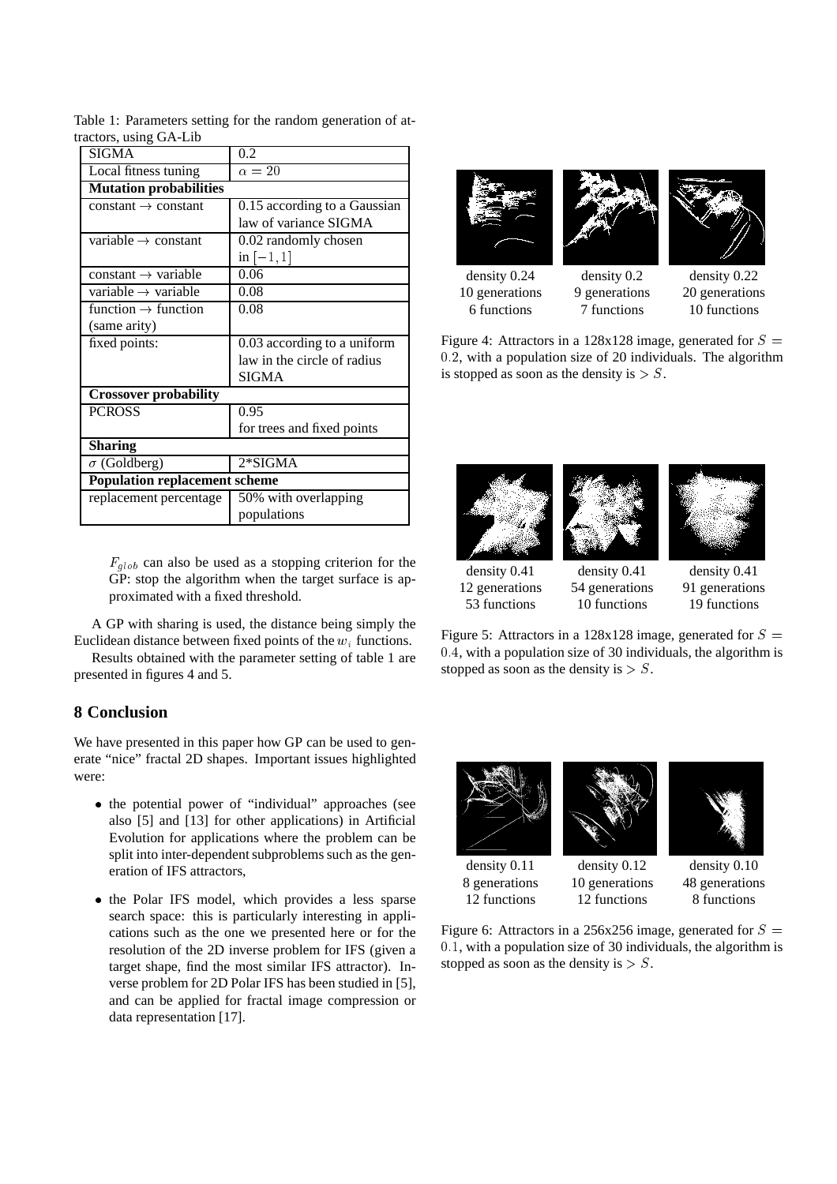| <b>SIGMA</b>                         | 0.2                          |
|--------------------------------------|------------------------------|
| Local fitness tuning                 | $\alpha=20$                  |
| <b>Mutation probabilities</b>        |                              |
| $constant \rightarrow constant$      | 0.15 according to a Gaussian |
|                                      | law of variance SIGMA        |
| variable $\rightarrow$ constant      | 0.02 randomly chosen         |
|                                      | in $[-1, 1]$                 |
| constant $\rightarrow$ variable      | 0.06                         |
| variable $\rightarrow$ variable      | 0.08                         |
| function $\rightarrow$ function      | 0.08                         |
| (same arity)                         |                              |
| fixed points:                        | 0.03 according to a uniform  |
|                                      | law in the circle of radius  |
|                                      | SIGMA                        |
| <b>Crossover probability</b>         |                              |
| <b>PCROSS</b>                        | 0.95                         |
|                                      | for trees and fixed points   |
| <b>Sharing</b>                       |                              |
| $\sigma$ (Goldberg)                  | $2*SIGMA$                    |
| <b>Population replacement scheme</b> |                              |
| replacement percentage               | 50% with overlapping         |
|                                      | populations                  |

Table 1: Parameters setting for the random generation of attractors, using GA-Lib

> $F_{glob}$  can also be used as a stopping criterion for the GP: stop the algorithm when the target surface is approximated with a fixed threshold.

A GP with sharing is used, the distance being simply the Euclidean distance between fixed points of the  $w_i$  functions.

Results obtained with the parameter setting of table 1 are presented in figures 4 and 5.

## **8 Conclusion**

We have presented in this paper how GP can be used to generate "nice" fractal 2D shapes. Important issues highlighted were:

- the potential power of "individual" approaches (see also [5] and [13] for other applications) in Artificial Evolution for applications where the problem can be split into inter-dependent subproblems such as the generation of IFS attractors,
- the Polar IFS model, which provides a less sparse search space: this is particularly interesting in applications such as the one we presented here or for the resolution of the 2D inverse problem for IFS (given a target shape, find the most similar IFS attractor). Inverse problem for 2D Polar IFS has been studied in [5], and can be applied for fractal image compression or data representation [17].



10 generations 9 generations 20 generations

6 functions 7 functions 10 functions

Figure 4: Attractors in a 128x128 image, generated for  $S =$ 0:2, with a population size of 20 individuals. The algorithm is stopped as soon as the density is  $> S$ .







density 0.41 density 0.41 density 0.41 12 generations 54 generations 91 generations 53 functions 10 functions 19 functions

Figure 5: Attractors in a 128x128 image, generated for  $S =$ 0:4, with a population size of 30 individuals, the algorithm is stopped as soon as the density is  $> S$ .





density 0.11 density 0.12 density 0.10 12 functions 12 functions 8 functions

8 generations 10 generations 48 generations

Figure 6: Attractors in a 256x256 image, generated for  $S =$ 0:1, with a population size of 30 individuals, the algorithm is stopped as soon as the density is  $> S$ .